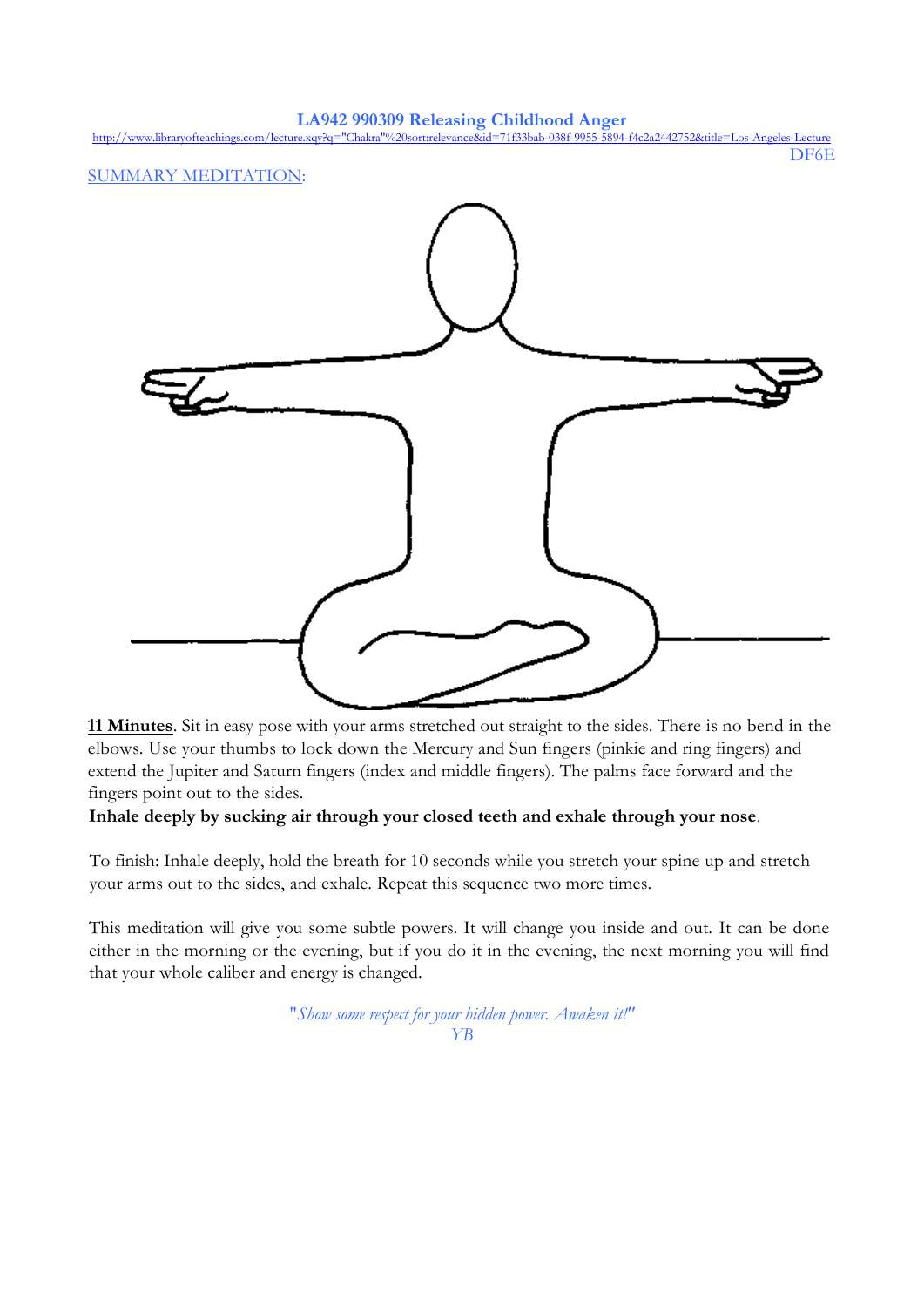**LA942 990309 Releasing Childhood Anger** [http://www.libraryofteachings.com/lecture.xqy?q="Chakra"%20sort:relevance&id=71f33bab-038f-9955-5894-f4c2a2442752&title=Los-Angeles-Lecture](http://www.libraryofteachings.com/lecture.xqy?q=%22Chakra%22%20sort:relevance&id=71f33bab-038f-9955-5894-f4c2a2442752&title=Los-Angeles-Lecture) DF6E SUMMARY MEDITATION:

**11 Minutes**. Sit in easy pose with your arms stretched out straight to the sides. There is no bend in the elbows. Use your thumbs to lock down the Mercury and Sun fingers (pinkie and ring fingers) and extend the Jupiter and Saturn fingers (index and middle fingers). The palms face forward and the fingers point out to the sides.

## **Inhale deeply by sucking air through your closed teeth and exhale through your nose**.

To finish: Inhale deeply, hold the breath for 10 seconds while you stretch your spine up and stretch your arms out to the sides, and exhale. Repeat this sequence two more times.

This meditation will give you some subtle powers. It will change you inside and out. It can be done either in the morning or the evening, but if you do it in the evening, the next morning you will find that your whole caliber and energy is changed.

> "*Show some respect for your hidden power. Awaken it!" YB*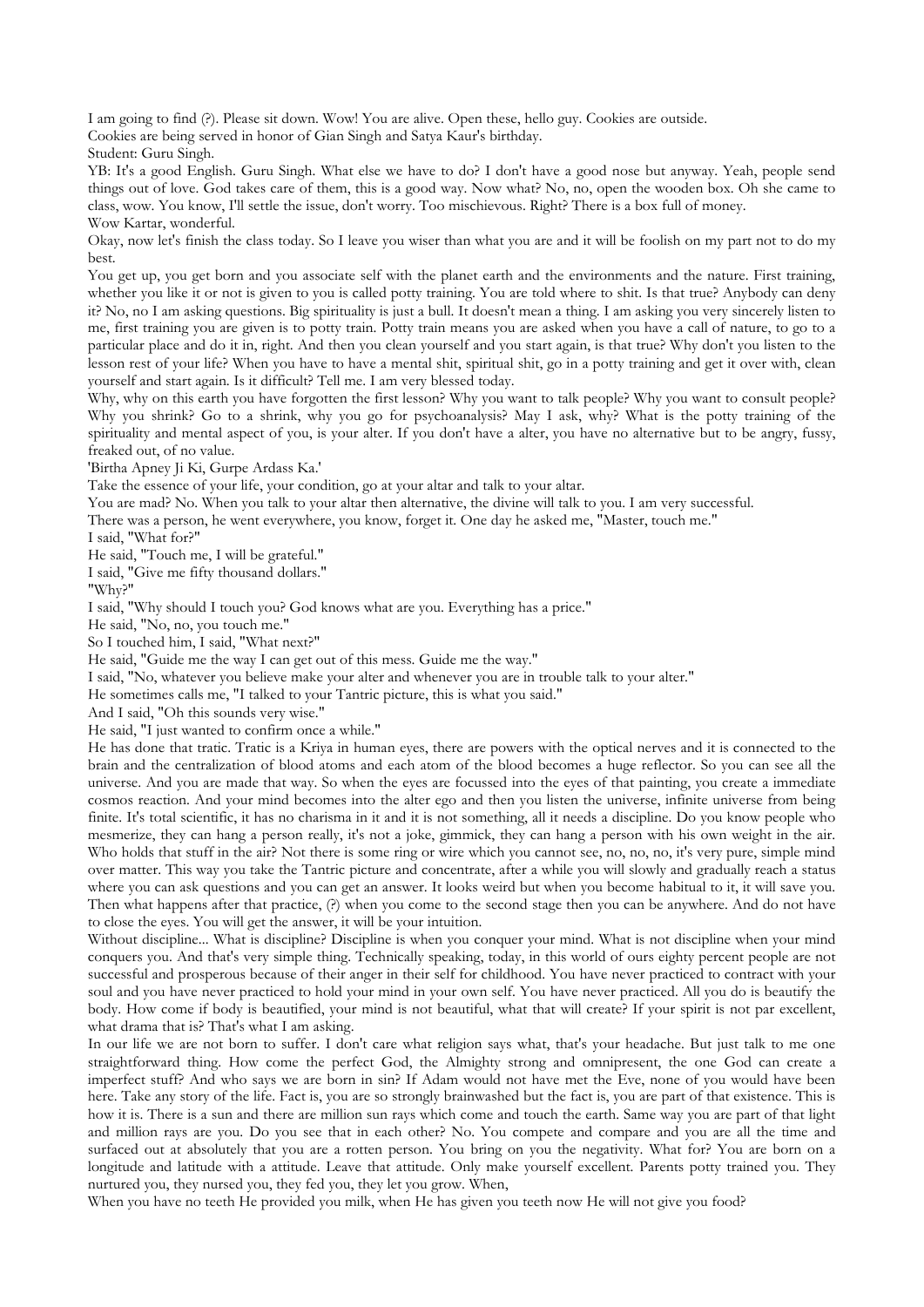I am going to find (?). Please sit down. Wow! You are alive. Open these, hello guy. Cookies are outside.

Cookies are being served in honor of Gian Singh and Satya Kaur's birthday.

Student: Guru Singh.

YB: It's a good English. Guru Singh. What else we have to do? I don't have a good nose but anyway. Yeah, people send things out of love. God takes care of them, this is a good way. Now what? No, no, open the wooden box. Oh she came to class, wow. You know, I'll settle the issue, don't worry. Too mischievous. Right? There is a box full of money. Wow Kartar, wonderful.

Okay, now let's finish the class today. So I leave you wiser than what you are and it will be foolish on my part not to do my best.

You get up, you get born and you associate self with the planet earth and the environments and the nature. First training, whether you like it or not is given to you is called potty training. You are told where to shit. Is that true? Anybody can deny it? No, no I am asking questions. Big spirituality is just a bull. It doesn't mean a thing. I am asking you very sincerely listen to me, first training you are given is to potty train. Potty train means you are asked when you have a call of nature, to go to a particular place and do it in, right. And then you clean yourself and you start again, is that true? Why don't you listen to the lesson rest of your life? When you have to have a mental shit, spiritual shit, go in a potty training and get it over with, clean yourself and start again. Is it difficult? Tell me. I am very blessed today.

Why, why on this earth you have forgotten the first lesson? Why you want to talk people? Why you want to consult people? Why you shrink? Go to a shrink, why you go for psychoanalysis? May I ask, why? What is the potty training of the spirituality and mental aspect of you, is your alter. If you don't have a alter, you have no alternative but to be angry, fussy, freaked out, of no value.

'Birtha Apney Ji Ki, Gurpe Ardass Ka.'

Take the essence of your life, your condition, go at your altar and talk to your altar.

You are mad? No. When you talk to your altar then alternative, the divine will talk to you. I am very successful.

There was a person, he went everywhere, you know, forget it. One day he asked me, "Master, touch me."

I said, "What for?"

He said, "Touch me, I will be grateful."

I said, "Give me fifty thousand dollars."

"Why?"

I said, "Why should I touch you? God knows what are you. Everything has a price."

He said, "No, no, you touch me."

So I touched him, I said, "What next?"

He said, "Guide me the way I can get out of this mess. Guide me the way."

I said, "No, whatever you believe make your alter and whenever you are in trouble talk to your alter."

He sometimes calls me, "I talked to your Tantric picture, this is what you said."

And I said, "Oh this sounds very wise."

He said, "I just wanted to confirm once a while."

He has done that tratic. Tratic is a Kriya in human eyes, there are powers with the optical nerves and it is connected to the brain and the centralization of blood atoms and each atom of the blood becomes a huge reflector. So you can see all the universe. And you are made that way. So when the eyes are focussed into the eyes of that painting, you create a immediate cosmos reaction. And your mind becomes into the alter ego and then you listen the universe, infinite universe from being finite. It's total scientific, it has no charisma in it and it is not something, all it needs a discipline. Do you know people who mesmerize, they can hang a person really, it's not a joke, gimmick, they can hang a person with his own weight in the air. Who holds that stuff in the air? Not there is some ring or wire which you cannot see, no, no, no, it's very pure, simple mind over matter. This way you take the Tantric picture and concentrate, after a while you will slowly and gradually reach a status where you can ask questions and you can get an answer. It looks weird but when you become habitual to it, it will save you. Then what happens after that practice, (?) when you come to the second stage then you can be anywhere. And do not have to close the eyes. You will get the answer, it will be your intuition.

Without discipline... What is discipline? Discipline is when you conquer your mind. What is not discipline when your mind conquers you. And that's very simple thing. Technically speaking, today, in this world of ours eighty percent people are not successful and prosperous because of their anger in their self for childhood. You have never practiced to contract with your soul and you have never practiced to hold your mind in your own self. You have never practiced. All you do is beautify the body. How come if body is beautified, your mind is not beautiful, what that will create? If your spirit is not par excellent, what drama that is? That's what I am asking.

In our life we are not born to suffer. I don't care what religion says what, that's your headache. But just talk to me one straightforward thing. How come the perfect God, the Almighty strong and omnipresent, the one God can create a imperfect stuff? And who says we are born in sin? If Adam would not have met the Eve, none of you would have been here. Take any story of the life. Fact is, you are so strongly brainwashed but the fact is, you are part of that existence. This is how it is. There is a sun and there are million sun rays which come and touch the earth. Same way you are part of that light and million rays are you. Do you see that in each other? No. You compete and compare and you are all the time and surfaced out at absolutely that you are a rotten person. You bring on you the negativity. What for? You are born on a longitude and latitude with a attitude. Leave that attitude. Only make yourself excellent. Parents potty trained you. They nurtured you, they nursed you, they fed you, they let you grow. When,

When you have no teeth He provided you milk, when He has given you teeth now He will not give you food?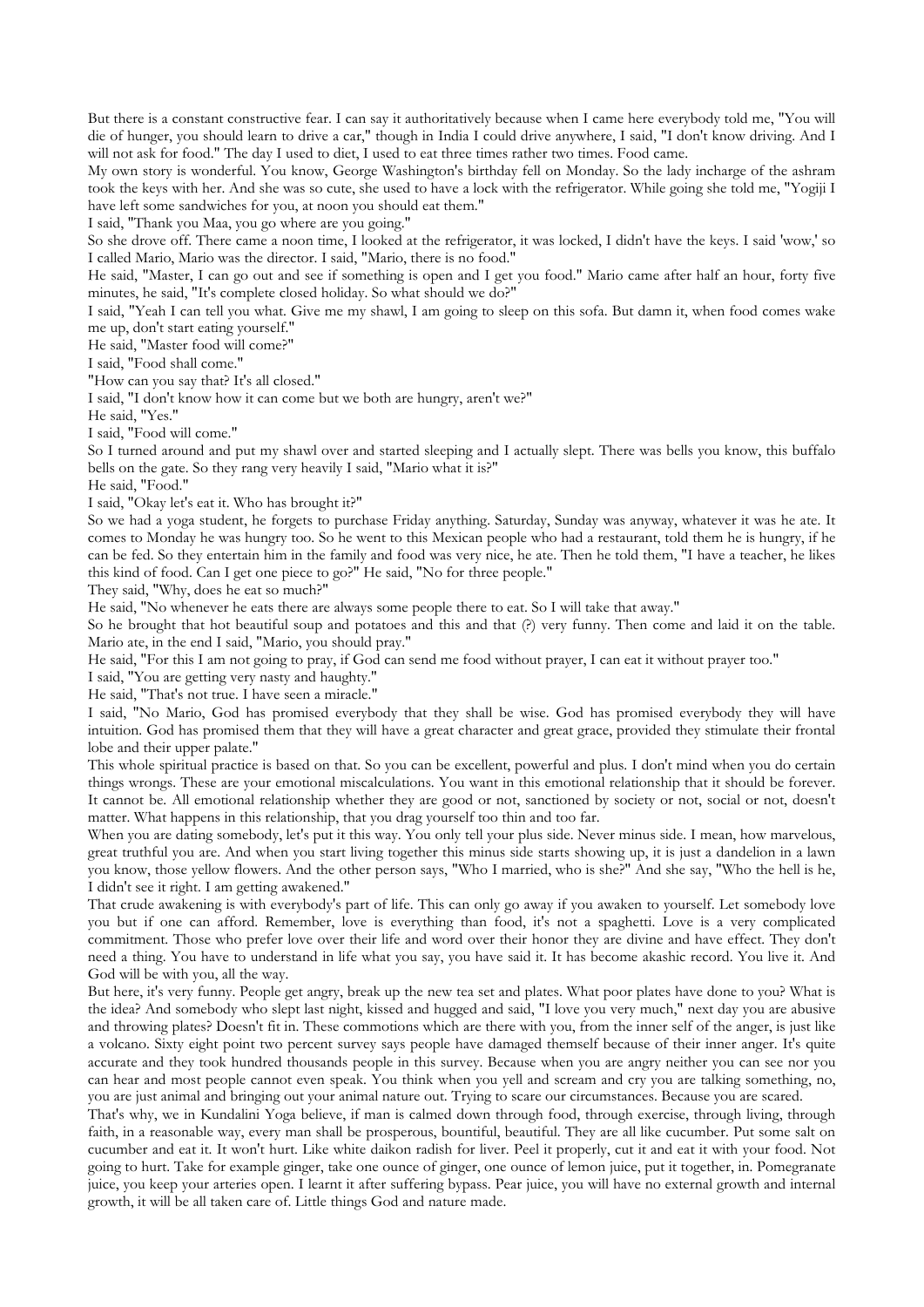But there is a constant constructive fear. I can say it authoritatively because when I came here everybody told me, "You will die of hunger, you should learn to drive a car," though in India I could drive anywhere, I said, "I don't know driving. And I will not ask for food." The day I used to diet, I used to eat three times rather two times. Food came.

My own story is wonderful. You know, George Washington's birthday fell on Monday. So the lady incharge of the ashram took the keys with her. And she was so cute, she used to have a lock with the refrigerator. While going she told me, "Yogiji I have left some sandwiches for you, at noon you should eat them."

I said, "Thank you Maa, you go where are you going."

So she drove off. There came a noon time, I looked at the refrigerator, it was locked, I didn't have the keys. I said 'wow,' so I called Mario, Mario was the director. I said, "Mario, there is no food."

He said, "Master, I can go out and see if something is open and I get you food." Mario came after half an hour, forty five minutes, he said, "It's complete closed holiday. So what should we do?"

I said, "Yeah I can tell you what. Give me my shawl, I am going to sleep on this sofa. But damn it, when food comes wake me up, don't start eating yourself."

He said, "Master food will come?"

I said, "Food shall come."

"How can you say that? It's all closed."

I said, "I don't know how it can come but we both are hungry, aren't we?"

He said, "Yes."

I said, "Food will come."

So I turned around and put my shawl over and started sleeping and I actually slept. There was bells you know, this buffalo bells on the gate. So they rang very heavily I said, "Mario what it is?"

He said, "Food."

I said, "Okay let's eat it. Who has brought it?"

So we had a yoga student, he forgets to purchase Friday anything. Saturday, Sunday was anyway, whatever it was he ate. It comes to Monday he was hungry too. So he went to this Mexican people who had a restaurant, told them he is hungry, if he can be fed. So they entertain him in the family and food was very nice, he ate. Then he told them, "I have a teacher, he likes this kind of food. Can I get one piece to go?" He said, "No for three people."

They said, "Why, does he eat so much?"

He said, "No whenever he eats there are always some people there to eat. So I will take that away."

So he brought that hot beautiful soup and potatoes and this and that (?) very funny. Then come and laid it on the table. Mario ate, in the end I said, "Mario, you should pray."

He said, "For this I am not going to pray, if God can send me food without prayer, I can eat it without prayer too."

I said, "You are getting very nasty and haughty."

He said, "That's not true. I have seen a miracle."

I said, "No Mario, God has promised everybody that they shall be wise. God has promised everybody they will have intuition. God has promised them that they will have a great character and great grace, provided they stimulate their frontal lobe and their upper palate."

This whole spiritual practice is based on that. So you can be excellent, powerful and plus. I don't mind when you do certain things wrongs. These are your emotional miscalculations. You want in this emotional relationship that it should be forever. It cannot be. All emotional relationship whether they are good or not, sanctioned by society or not, social or not, doesn't matter. What happens in this relationship, that you drag yourself too thin and too far.

When you are dating somebody, let's put it this way. You only tell your plus side. Never minus side. I mean, how marvelous, great truthful you are. And when you start living together this minus side starts showing up, it is just a dandelion in a lawn you know, those yellow flowers. And the other person says, "Who I married, who is she?" And she say, "Who the hell is he, I didn't see it right. I am getting awakened."

That crude awakening is with everybody's part of life. This can only go away if you awaken to yourself. Let somebody love you but if one can afford. Remember, love is everything than food, it's not a spaghetti. Love is a very complicated commitment. Those who prefer love over their life and word over their honor they are divine and have effect. They don't need a thing. You have to understand in life what you say, you have said it. It has become akashic record. You live it. And God will be with you, all the way.

But here, it's very funny. People get angry, break up the new tea set and plates. What poor plates have done to you? What is the idea? And somebody who slept last night, kissed and hugged and said, "I love you very much," next day you are abusive and throwing plates? Doesn't fit in. These commotions which are there with you, from the inner self of the anger, is just like a volcano. Sixty eight point two percent survey says people have damaged themself because of their inner anger. It's quite accurate and they took hundred thousands people in this survey. Because when you are angry neither you can see nor you can hear and most people cannot even speak. You think when you yell and scream and cry you are talking something, no, you are just animal and bringing out your animal nature out. Trying to scare our circumstances. Because you are scared.

That's why, we in Kundalini Yoga believe, if man is calmed down through food, through exercise, through living, through faith, in a reasonable way, every man shall be prosperous, bountiful, beautiful. They are all like cucumber. Put some salt on cucumber and eat it. It won't hurt. Like white daikon radish for liver. Peel it properly, cut it and eat it with your food. Not going to hurt. Take for example ginger, take one ounce of ginger, one ounce of lemon juice, put it together, in. Pomegranate juice, you keep your arteries open. I learnt it after suffering bypass. Pear juice, you will have no external growth and internal growth, it will be all taken care of. Little things God and nature made.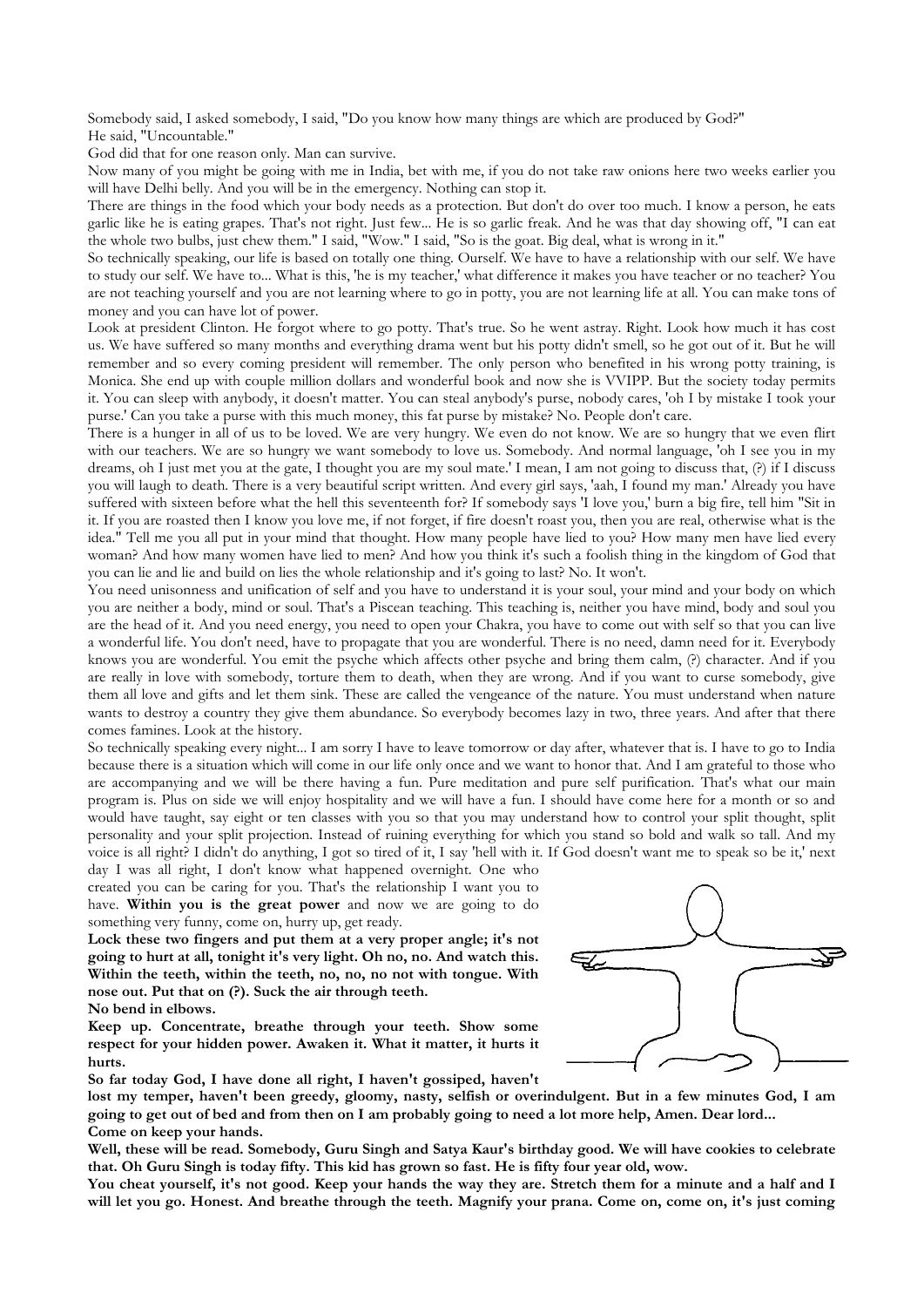Somebody said, I asked somebody, I said, "Do you know how many things are which are produced by God?" He said, "Uncountable."

God did that for one reason only. Man can survive.

Now many of you might be going with me in India, bet with me, if you do not take raw onions here two weeks earlier you will have Delhi belly. And you will be in the emergency. Nothing can stop it.

There are things in the food which your body needs as a protection. But don't do over too much. I know a person, he eats garlic like he is eating grapes. That's not right. Just few... He is so garlic freak. And he was that day showing off, "I can eat the whole two bulbs, just chew them." I said, "Wow." I said, "So is the goat. Big deal, what is wrong in it."

So technically speaking, our life is based on totally one thing. Ourself. We have to have a relationship with our self. We have to study our self. We have to... What is this, 'he is my teacher,' what difference it makes you have teacher or no teacher? You are not teaching yourself and you are not learning where to go in potty, you are not learning life at all. You can make tons of money and you can have lot of power.

Look at president Clinton. He forgot where to go potty. That's true. So he went astray. Right. Look how much it has cost us. We have suffered so many months and everything drama went but his potty didn't smell, so he got out of it. But he will remember and so every coming president will remember. The only person who benefited in his wrong potty training, is Monica. She end up with couple million dollars and wonderful book and now she is VVIPP. But the society today permits it. You can sleep with anybody, it doesn't matter. You can steal anybody's purse, nobody cares, 'oh I by mistake I took your purse.' Can you take a purse with this much money, this fat purse by mistake? No. People don't care.

There is a hunger in all of us to be loved. We are very hungry. We even do not know. We are so hungry that we even flirt with our teachers. We are so hungry we want somebody to love us. Somebody. And normal language, 'oh I see you in my dreams, oh I just met you at the gate, I thought you are my soul mate.' I mean, I am not going to discuss that, (?) if I discuss you will laugh to death. There is a very beautiful script written. And every girl says, 'aah, I found my man.' Already you have suffered with sixteen before what the hell this seventeenth for? If somebody says 'I love you,' burn a big fire, tell him "Sit in it. If you are roasted then I know you love me, if not forget, if fire doesn't roast you, then you are real, otherwise what is the idea." Tell me you all put in your mind that thought. How many people have lied to you? How many men have lied every woman? And how many women have lied to men? And how you think it's such a foolish thing in the kingdom of God that you can lie and lie and build on lies the whole relationship and it's going to last? No. It won't.

You need unisonness and unification of self and you have to understand it is your soul, your mind and your body on which you are neither a body, mind or soul. That's a Piscean teaching. This teaching is, neither you have mind, body and soul you are the head of it. And you need energy, you need to open your Chakra, you have to come out with self so that you can live a wonderful life. You don't need, have to propagate that you are wonderful. There is no need, damn need for it. Everybody knows you are wonderful. You emit the psyche which affects other psyche and bring them calm, (?) character. And if you are really in love with somebody, torture them to death, when they are wrong. And if you want to curse somebody, give them all love and gifts and let them sink. These are called the vengeance of the nature. You must understand when nature wants to destroy a country they give them abundance. So everybody becomes lazy in two, three years. And after that there comes famines. Look at the history.

So technically speaking every night... I am sorry I have to leave tomorrow or day after, whatever that is. I have to go to India because there is a situation which will come in our life only once and we want to honor that. And I am grateful to those who are accompanying and we will be there having a fun. Pure meditation and pure self purification. That's what our main program is. Plus on side we will enjoy hospitality and we will have a fun. I should have come here for a month or so and would have taught, say eight or ten classes with you so that you may understand how to control your split thought, split personality and your split projection. Instead of ruining everything for which you stand so bold and walk so tall. And my voice is all right? I didn't do anything, I got so tired of it, I say 'hell with it. If God doesn't want me to speak so be it,' next

day I was all right, I don't know what happened overnight. One who created you can be caring for you. That's the relationship I want you to have. **Within you is the great power** and now we are going to do something very funny, come on, hurry up, get ready.

**Lock these two fingers and put them at a very proper angle; it's not going to hurt at all, tonight it's very light. Oh no, no. And watch this. Within the teeth, within the teeth, no, no, no not with tongue. With nose out. Put that on (?). Suck the air through teeth. No bend in elbows.**

**Keep up. Concentrate, breathe through your teeth. Show some respect for your hidden power. Awaken it. What it matter, it hurts it hurts.**

**So far today God, I have done all right, I haven't gossiped, haven't** 



**lost my temper, haven't been greedy, gloomy, nasty, selfish or overindulgent. But in a few minutes God, I am going to get out of bed and from then on I am probably going to need a lot more help, Amen. Dear lord... Come on keep your hands.**

**Well, these will be read. Somebody, Guru Singh and Satya Kaur's birthday good. We will have cookies to celebrate that. Oh Guru Singh is today fifty. This kid has grown so fast. He is fifty four year old, wow.**

**You cheat yourself, it's not good. Keep your hands the way they are. Stretch them for a minute and a half and I will let you go. Honest. And breathe through the teeth. Magnify your prana. Come on, come on, it's just coming**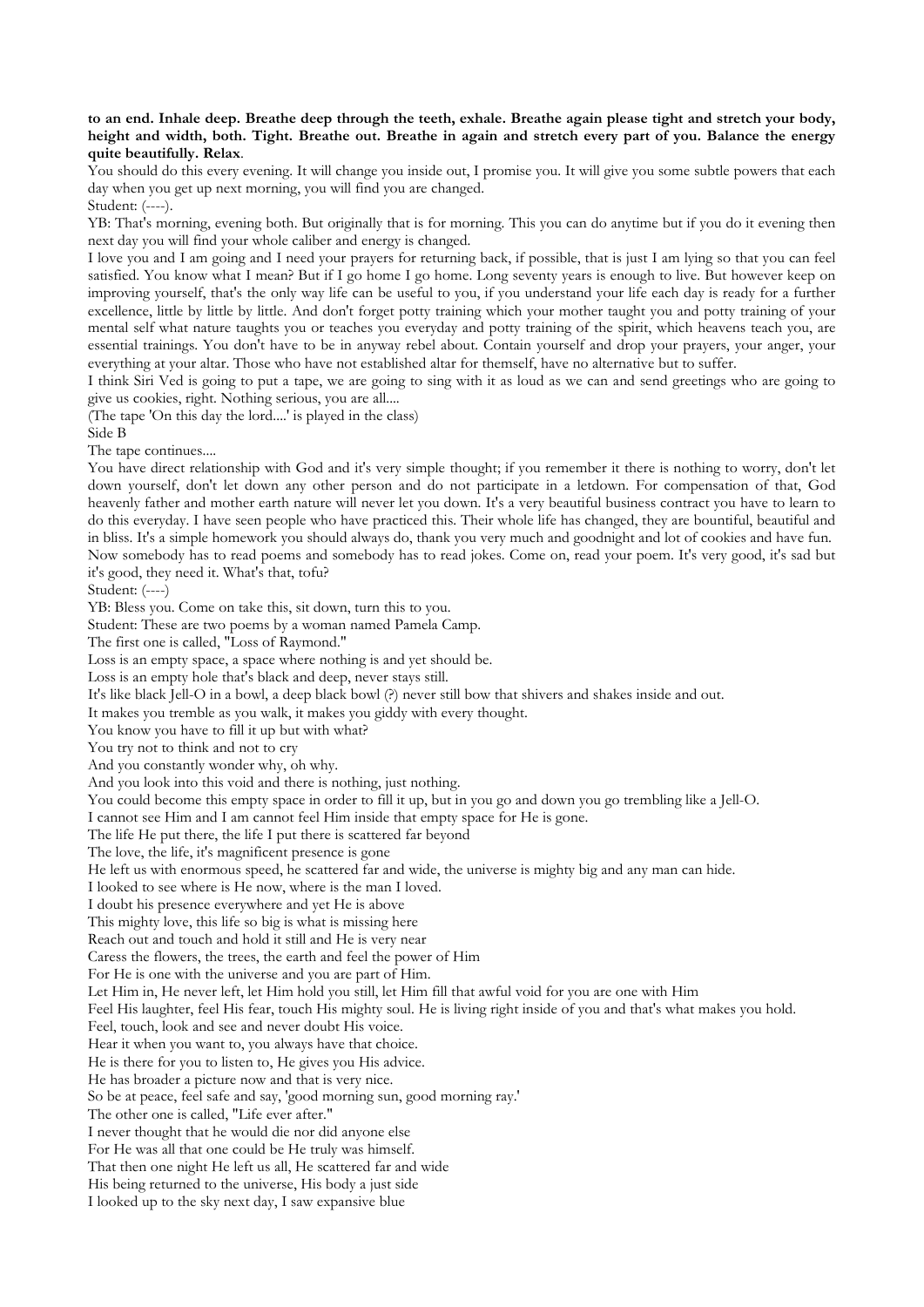## **to an end. Inhale deep. Breathe deep through the teeth, exhale. Breathe again please tight and stretch your body, height and width, both. Tight. Breathe out. Breathe in again and stretch every part of you. Balance the energy quite beautifully. Relax**.

You should do this every evening. It will change you inside out, I promise you. It will give you some subtle powers that each day when you get up next morning, you will find you are changed.

Student: (----).

YB: That's morning, evening both. But originally that is for morning. This you can do anytime but if you do it evening then next day you will find your whole caliber and energy is changed.

I love you and I am going and I need your prayers for returning back, if possible, that is just I am lying so that you can feel satisfied. You know what I mean? But if I go home I go home. Long seventy years is enough to live. But however keep on improving yourself, that's the only way life can be useful to you, if you understand your life each day is ready for a further excellence, little by little by little. And don't forget potty training which your mother taught you and potty training of your mental self what nature taughts you or teaches you everyday and potty training of the spirit, which heavens teach you, are essential trainings. You don't have to be in anyway rebel about. Contain yourself and drop your prayers, your anger, your everything at your altar. Those who have not established altar for themself, have no alternative but to suffer.

I think Siri Ved is going to put a tape, we are going to sing with it as loud as we can and send greetings who are going to give us cookies, right. Nothing serious, you are all....

(The tape 'On this day the lord....' is played in the class)

Side B

The tape continues....

You have direct relationship with God and it's very simple thought; if you remember it there is nothing to worry, don't let down yourself, don't let down any other person and do not participate in a letdown. For compensation of that, God heavenly father and mother earth nature will never let you down. It's a very beautiful business contract you have to learn to do this everyday. I have seen people who have practiced this. Their whole life has changed, they are bountiful, beautiful and in bliss. It's a simple homework you should always do, thank you very much and goodnight and lot of cookies and have fun. Now somebody has to read poems and somebody has to read jokes. Come on, read your poem. It's very good, it's sad but it's good, they need it. What's that, tofu?

Student: (----)

YB: Bless you. Come on take this, sit down, turn this to you.

Student: These are two poems by a woman named Pamela Camp.

The first one is called, "Loss of Raymond."

Loss is an empty space, a space where nothing is and yet should be.

Loss is an empty hole that's black and deep, never stays still.

It's like black Jell-O in a bowl, a deep black bowl (?) never still bow that shivers and shakes inside and out.

It makes you tremble as you walk, it makes you giddy with every thought.

You know you have to fill it up but with what?

You try not to think and not to cry

And you constantly wonder why, oh why.

And you look into this void and there is nothing, just nothing.

You could become this empty space in order to fill it up, but in you go and down you go trembling like a Jell-O.

I cannot see Him and I am cannot feel Him inside that empty space for He is gone.

The life He put there, the life I put there is scattered far beyond

The love, the life, it's magnificent presence is gone

He left us with enormous speed, he scattered far and wide, the universe is mighty big and any man can hide.

I looked to see where is He now, where is the man I loved.

I doubt his presence everywhere and yet He is above

This mighty love, this life so big is what is missing here

Reach out and touch and hold it still and He is very near

Caress the flowers, the trees, the earth and feel the power of Him

For He is one with the universe and you are part of Him.

Let Him in, He never left, let Him hold you still, let Him fill that awful void for you are one with Him

Feel His laughter, feel His fear, touch His mighty soul. He is living right inside of you and that's what makes you hold.

Feel, touch, look and see and never doubt His voice.

Hear it when you want to, you always have that choice.

He is there for you to listen to, He gives you His advice.

He has broader a picture now and that is very nice.

So be at peace, feel safe and say, 'good morning sun, good morning ray.'

The other one is called, "Life ever after."

I never thought that he would die nor did anyone else

For He was all that one could be He truly was himself.

That then one night He left us all, He scattered far and wide

His being returned to the universe, His body a just side

I looked up to the sky next day, I saw expansive blue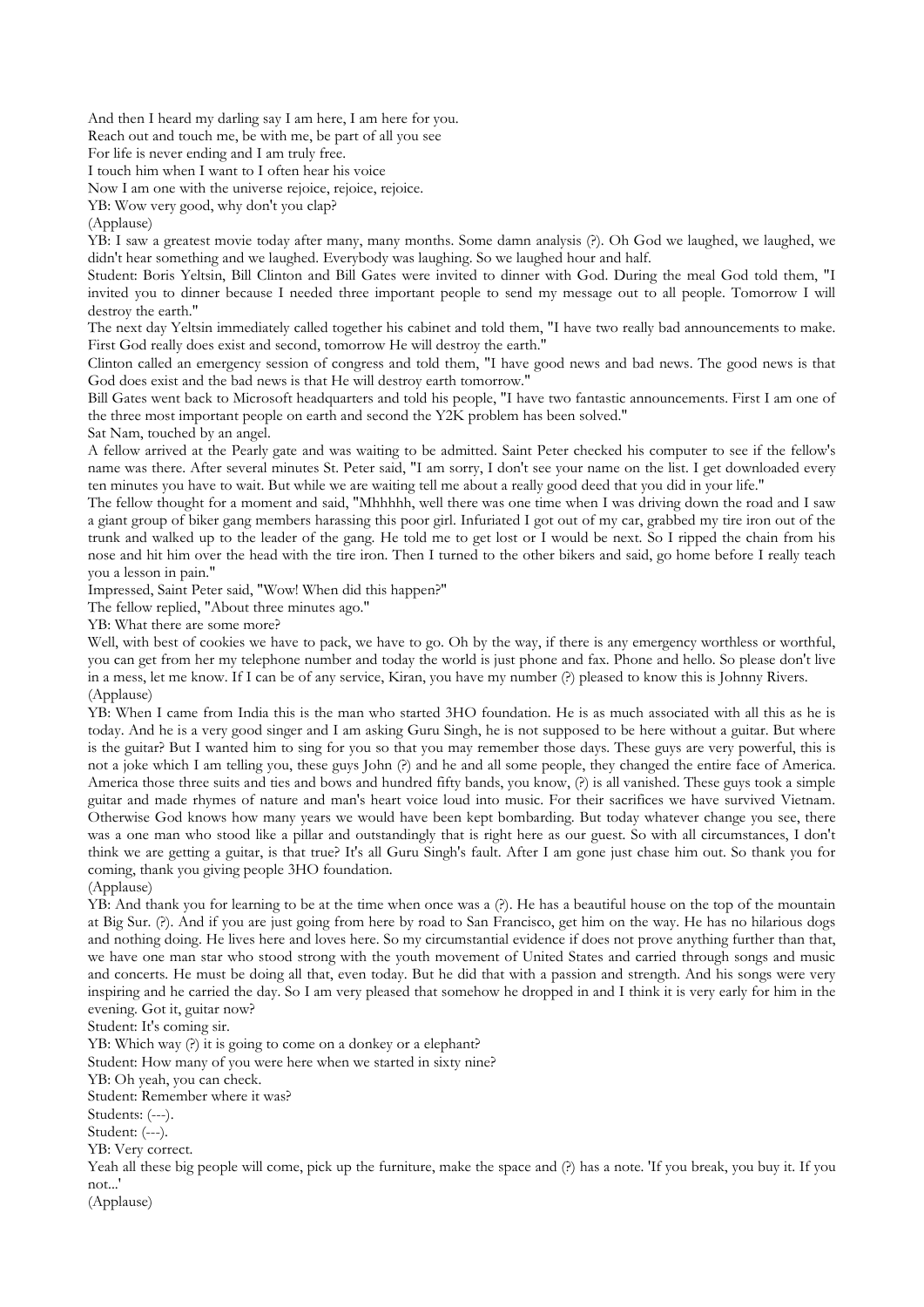And then I heard my darling say I am here, I am here for you.

Reach out and touch me, be with me, be part of all you see

For life is never ending and I am truly free.

I touch him when I want to I often hear his voice

Now I am one with the universe rejoice, rejoice, rejoice.

YB: Wow very good, why don't you clap?

(Applause)

YB: I saw a greatest movie today after many, many months. Some damn analysis (?). Oh God we laughed, we laughed, we didn't hear something and we laughed. Everybody was laughing. So we laughed hour and half.

Student: Boris Yeltsin, Bill Clinton and Bill Gates were invited to dinner with God. During the meal God told them, "I invited you to dinner because I needed three important people to send my message out to all people. Tomorrow I will destroy the earth."

The next day Yeltsin immediately called together his cabinet and told them, "I have two really bad announcements to make. First God really does exist and second, tomorrow He will destroy the earth."

Clinton called an emergency session of congress and told them, "I have good news and bad news. The good news is that God does exist and the bad news is that He will destroy earth tomorrow."

Bill Gates went back to Microsoft headquarters and told his people, "I have two fantastic announcements. First I am one of the three most important people on earth and second the Y2K problem has been solved."

Sat Nam, touched by an angel.

A fellow arrived at the Pearly gate and was waiting to be admitted. Saint Peter checked his computer to see if the fellow's name was there. After several minutes St. Peter said, "I am sorry, I don't see your name on the list. I get downloaded every ten minutes you have to wait. But while we are waiting tell me about a really good deed that you did in your life."

The fellow thought for a moment and said, "Mhhhhh, well there was one time when I was driving down the road and I saw a giant group of biker gang members harassing this poor girl. Infuriated I got out of my car, grabbed my tire iron out of the trunk and walked up to the leader of the gang. He told me to get lost or I would be next. So I ripped the chain from his nose and hit him over the head with the tire iron. Then I turned to the other bikers and said, go home before I really teach you a lesson in pain."

Impressed, Saint Peter said, "Wow! When did this happen?"

The fellow replied, "About three minutes ago."

YB: What there are some more?

Well, with best of cookies we have to pack, we have to go. Oh by the way, if there is any emergency worthless or worthful, you can get from her my telephone number and today the world is just phone and fax. Phone and hello. So please don't live in a mess, let me know. If I can be of any service, Kiran, you have my number (?) pleased to know this is Johnny Rivers. (Applause)

YB: When I came from India this is the man who started 3HO foundation. He is as much associated with all this as he is today. And he is a very good singer and I am asking Guru Singh, he is not supposed to be here without a guitar. But where is the guitar? But I wanted him to sing for you so that you may remember those days. These guys are very powerful, this is not a joke which I am telling you, these guys John (?) and he and all some people, they changed the entire face of America. America those three suits and ties and bows and hundred fifty bands, you know,  $\langle$ ?) is all vanished. These guys took a simple guitar and made rhymes of nature and man's heart voice loud into music. For their sacrifices we have survived Vietnam. Otherwise God knows how many years we would have been kept bombarding. But today whatever change you see, there was a one man who stood like a pillar and outstandingly that is right here as our guest. So with all circumstances, I don't think we are getting a guitar, is that true? It's all Guru Singh's fault. After I am gone just chase him out. So thank you for coming, thank you giving people 3HO foundation.

(Applause)

YB: And thank you for learning to be at the time when once was a (?). He has a beautiful house on the top of the mountain at Big Sur. (?). And if you are just going from here by road to San Francisco, get him on the way. He has no hilarious dogs and nothing doing. He lives here and loves here. So my circumstantial evidence if does not prove anything further than that, we have one man star who stood strong with the youth movement of United States and carried through songs and music and concerts. He must be doing all that, even today. But he did that with a passion and strength. And his songs were very inspiring and he carried the day. So I am very pleased that somehow he dropped in and I think it is very early for him in the evening. Got it, guitar now?

Student: It's coming sir.

YB: Which way (?) it is going to come on a donkey or a elephant?

Student: How many of you were here when we started in sixty nine?

YB: Oh yeah, you can check.

Student: Remember where it was?

Students: (---).

Student: (---).

YB: Very correct.

Yeah all these big people will come, pick up the furniture, make the space and (?) has a note. 'If you break, you buy it. If you not...'

(Applause)